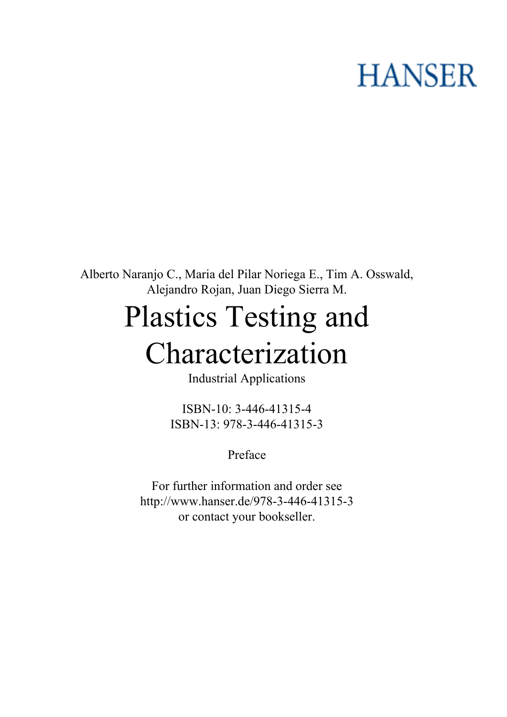## **HANSER**

**Alberto Naranjo C., Maria del Pilar Noriega E., Tim A. Osswald, Alejandro Rojan, Juan Diego Sierra M.**

## **Plastics Testing and Characterization**

**Industrial Applications**

**ISBN-10: 3-446-41315-4 ISBN-13: 978-3-446-41315-3**

**Preface**

**For further information and order see <http://www.hanser.de/978-3-446-41315-3> or contact your bookseller.**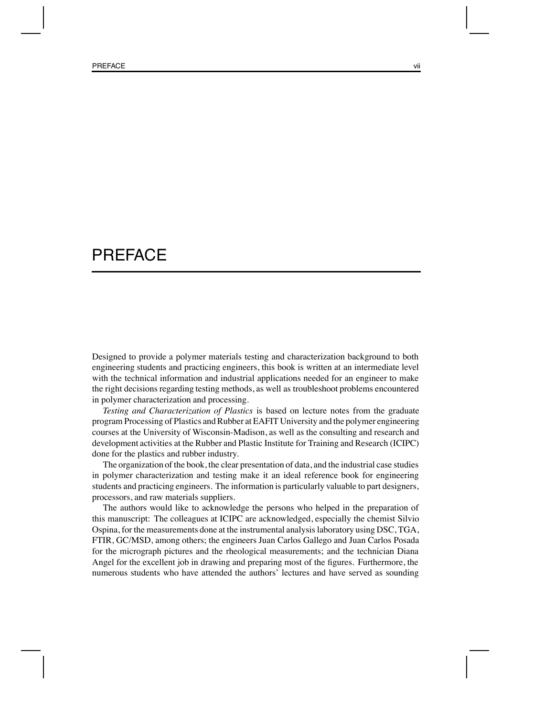## PREFACE

Designed to provide a polymer materials testing and characterization background to both engineering students and practicing engineers, this book is written at an intermediate level with the technical information and industrial applications needed for an engineer to make the right decisions regarding testing methods, as well as troubleshoot problems encountered in polymer characterization and processing.

*Testing and Characterization of Plastics* is based on lecture notes from the graduate program Processing of Plastics and Rubber at EAFIT University and the polymer engineering courses at the University of Wisconsin-Madison, as well as the consulting and research and development activities at the Rubber and Plastic Institute for Training and Research (ICIPC) done for the plastics and rubber industry.

The organization of the book, the clear presentation of data, and the industrial case studies in polymer characterization and testing make it an ideal reference book for engineering students and practicing engineers. The information is particularly valuable to part designers, processors, and raw materials suppliers.

The authors would like to acknowledge the persons who helped in the preparation of this manuscript: The colleagues at ICIPC are acknowledged, especially the chemist Silvio Ospina, for the measurements done at the instrumental analysis laboratory using DSC, TGA, FTIR, GC/MSD, among others; the engineers Juan Carlos Gallego and Juan Carlos Posada for the micrograph pictures and the rheological measurements; and the technician Diana Angel for the excellent job in drawing and preparing most of the figures. Furthermore, the numerous students who have attended the authors' lectures and have served as sounding